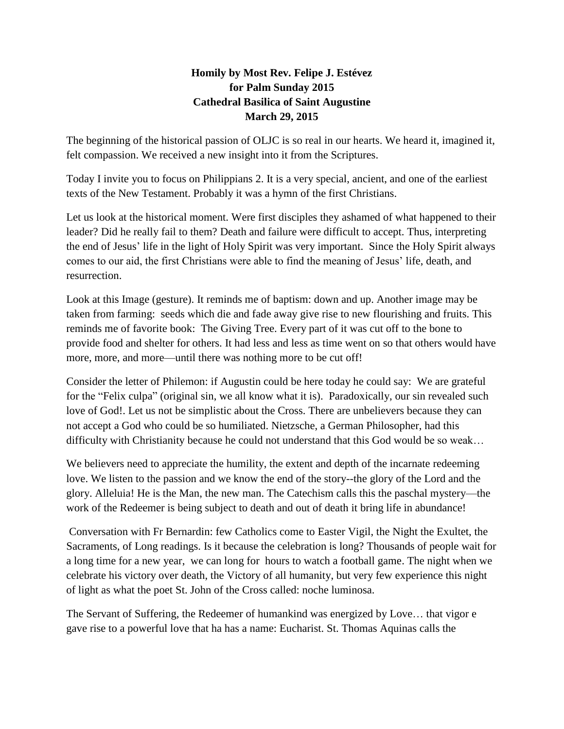## **Homily by Most Rev. Felipe J. Estévez for Palm Sunday 2015 Cathedral Basilica of Saint Augustine March 29, 2015**

The beginning of the historical passion of OLJC is so real in our hearts. We heard it, imagined it, felt compassion. We received a new insight into it from the Scriptures.

Today I invite you to focus on Philippians 2. It is a very special, ancient, and one of the earliest texts of the New Testament. Probably it was a hymn of the first Christians.

Let us look at the historical moment. Were first disciples they ashamed of what happened to their leader? Did he really fail to them? Death and failure were difficult to accept. Thus, interpreting the end of Jesus' life in the light of Holy Spirit was very important. Since the Holy Spirit always comes to our aid, the first Christians were able to find the meaning of Jesus' life, death, and resurrection.

Look at this Image (gesture). It reminds me of baptism: down and up. Another image may be taken from farming: seeds which die and fade away give rise to new flourishing and fruits. This reminds me of favorite book: The Giving Tree. Every part of it was cut off to the bone to provide food and shelter for others. It had less and less as time went on so that others would have more, more, and more—until there was nothing more to be cut off!

Consider the letter of Philemon: if Augustin could be here today he could say: We are grateful for the "Felix culpa" (original sin, we all know what it is). Paradoxically, our sin revealed such love of God!. Let us not be simplistic about the Cross. There are unbelievers because they can not accept a God who could be so humiliated. Nietzsche, a German Philosopher, had this difficulty with Christianity because he could not understand that this God would be so weak…

We believers need to appreciate the humility, the extent and depth of the incarnate redeeming love. We listen to the passion and we know the end of the story--the glory of the Lord and the glory. Alleluia! He is the Man, the new man. The Catechism calls this the paschal mystery—the work of the Redeemer is being subject to death and out of death it bring life in abundance!

Conversation with Fr Bernardin: few Catholics come to Easter Vigil, the Night the Exultet, the Sacraments, of Long readings. Is it because the celebration is long? Thousands of people wait for a long time for a new year, we can long for hours to watch a football game. The night when we celebrate his victory over death, the Victory of all humanity, but very few experience this night of light as what the poet St. John of the Cross called: noche luminosa.

The Servant of Suffering, the Redeemer of humankind was energized by Love… that vigor e gave rise to a powerful love that ha has a name: Eucharist. St. Thomas Aquinas calls the